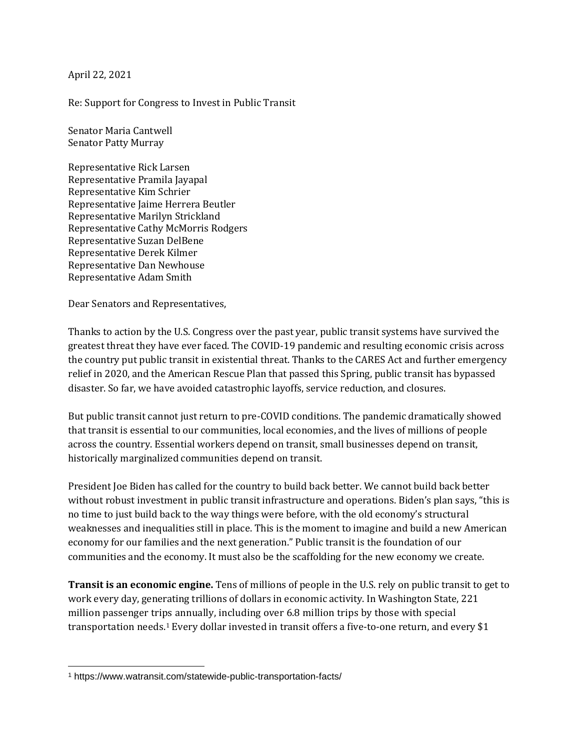April 22, 2021

Re: Support for Congress to Invest in Public Transit

Senator Maria Cantwell Senator Patty Murray

Representative Rick Larsen Representative Pramila Jayapal Representative Kim Schrier Representative Jaime Herrera Beutler Representative Marilyn Strickland Representative Cathy McMorris Rodgers Representative Suzan DelBene Representative Derek Kilmer Representative Dan Newhouse Representative Adam Smith

Dear Senators and Representatives,

Thanks to action by the U.S. Congress over the past year, public transit systems have survived the greatest threat they have ever faced. The COVID-19 pandemic and resulting economic crisis across the country put public transit in existential threat. Thanks to the CARES Act and further emergency relief in 2020, and the American Rescue Plan that passed this Spring, public transit has bypassed disaster. So far, we have avoided catastrophic layoffs, service reduction, and closures.

But public transit cannot just return to pre-COVID conditions. The pandemic dramatically showed that transit is essential to our communities, local economies, and the lives of millions of people across the country. Essential workers depend on transit, small businesses depend on transit, historically marginalized communities depend on transit.

President Joe Biden has called for the country to build back better. We cannot build back better without robust investment in public transit infrastructure and operations. Biden's plan says, "this is no time to just build back to the way things were before, with the old economy's structural weaknesses and inequalities still in place. This is the moment to imagine and build a new American economy for our families and the next generation." Public transit is the foundation of our communities and the economy. It must also be the scaffolding for the new economy we create.

**Transit is an economic engine.** Tens of millions of people in the U.S. rely on public transit to get to work every day, generating trillions of dollars in economic activity. In Washington State, 221 million passenger trips annually, including over 6.8 million trips by those with special transportation needs.<sup>1</sup> Every dollar invested in transit offers a five-to-one return, and every \$1

<sup>1</sup> https://www.watransit.com/statewide-public-transportation-facts/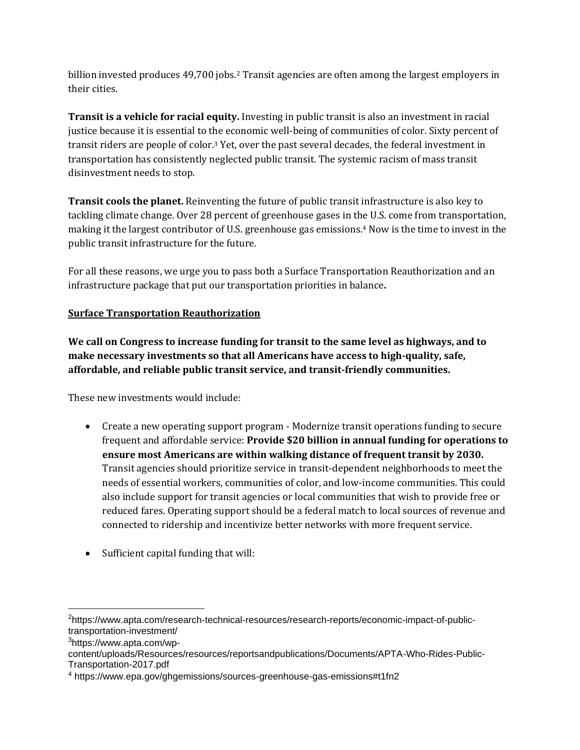billion invested produces 49,700 jobs.<sup>2</sup> Transit agencies are often among the largest employers in their cities.

**Transit is a vehicle for racial equity.** Investing in public transit is also an investment in racial justice because it is essential to the economic well-being of communities of color. Sixty percent of transit riders are people of color.<sup>3</sup> Yet, over the past several decades, the federal investment in transportation has consistently neglected public transit. The systemic racism of mass transit disinvestment needs to stop.

**Transit cools the planet.** Reinventing the future of public transit infrastructure is also key to tackling climate change. Over 28 percent of greenhouse gases in the U.S. come from transportation, making it the largest contributor of U.S. greenhouse gas emissions.<sup>4</sup> Now is the time to invest in the public transit infrastructure for the future.

For all these reasons, we urge you to pass both a Surface Transportation Reauthorization and an infrastructure package that put our transportation priorities in balance**.** 

## **Surface Transportation Reauthorization**

**We call on Congress to increase funding for transit to the same level as highways, and to make necessary investments so that all Americans have access to high-quality, safe, affordable, and reliable public transit service, and transit-friendly communities.** 

These new investments would include:

- Create a new operating support program Modernize transit operations funding to secure frequent and affordable service: **Provide \$20 billion in annual funding for operations to ensure most Americans are within walking distance of frequent transit by 2030.** Transit agencies should prioritize service in transit-dependent neighborhoods to meet the needs of essential workers, communities of color, and low-income communities. This could also include support for transit agencies or local communities that wish to provide free or reduced fares. Operating support should be a federal match to local sources of revenue and connected to ridership and incentivize better networks with more frequent service.
- Sufficient capital funding that will:

<sup>2</sup>https://www.apta.com/research-technical-resources/research-reports/economic-impact-of-publictransportation-investment/

<sup>3</sup>https://www.apta.com/wp-

content/uploads/Resources/resources/reportsandpublications/Documents/APTA-Who-Rides-Public-Transportation-2017.pdf

<sup>4</sup> https://www.epa.gov/ghgemissions/sources-greenhouse-gas-emissions#t1fn2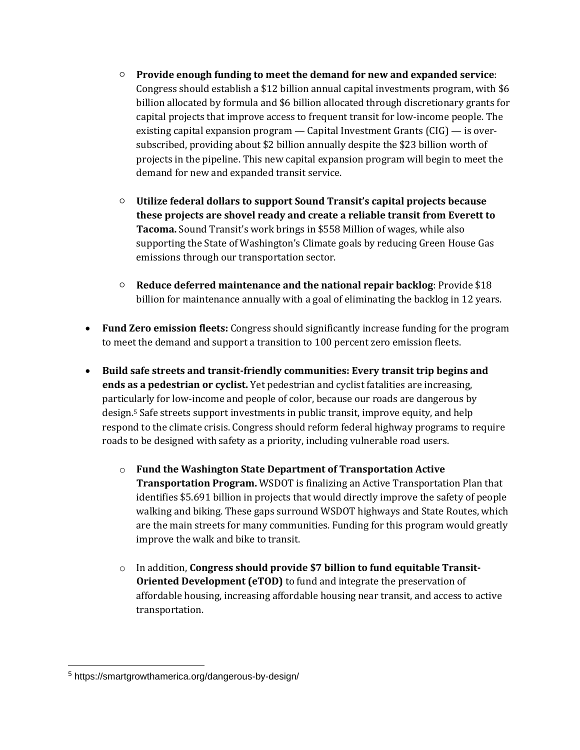- **Provide enough funding to meet the demand for new and expanded service**: Congress should establish a \$12 billion annual capital investments program, with \$6 billion allocated by formula and \$6 billion allocated through discretionary grants for capital projects that improve access to frequent transit for low-income people. The existing capital expansion program — Capital Investment Grants  $(CIG)$  — is oversubscribed, providing about \$2 billion annually despite the \$23 billion worth of projects in the pipeline. This new capital expansion program will begin to meet the demand for new and expanded transit service.
- **Utilize federal dollars to support Sound Transit's capital projects because these projects are shovel ready and create a reliable transit from Everett to Tacoma.** Sound Transit's work brings in \$558 Million of wages, while also supporting the State of Washington's Climate goals by reducing Green House Gas emissions through our transportation sector.
- **Reduce deferred maintenance and the national repair backlog**: Provide \$18 billion for maintenance annually with a goal of eliminating the backlog in 12 years.
- **Fund Zero emission fleets:** Congress should significantly increase funding for the program to meet the demand and support a transition to 100 percent zero emission fleets.
- **Build safe streets and transit-friendly communities: Every transit trip begins and ends as a pedestrian or cyclist.** Yet pedestrian and cyclist fatalities are increasing, particularly for low-income and people of color, because our roads are dangerous by design.<sup>5</sup> Safe streets support investments in public transit, improve equity, and help respond to the climate crisis. Congress should reform federal highway programs to require roads to be designed with safety as a priority, including vulnerable road users.
	- o **Fund the Washington State Department of Transportation Active Transportation Program.** WSDOT is finalizing an Active Transportation Plan that identifies \$5.691 billion in projects that would directly improve the safety of people walking and biking. These gaps surround WSDOT highways and State Routes, which are the main streets for many communities. Funding for this program would greatly improve the walk and bike to transit.
	- o In addition, **Congress should provide \$7 billion to fund equitable Transit-Oriented Development (eTOD)** to fund and integrate the preservation of affordable housing, increasing affordable housing near transit, and access to active transportation.

<sup>5</sup> https://smartgrowthamerica.org/dangerous-by-design/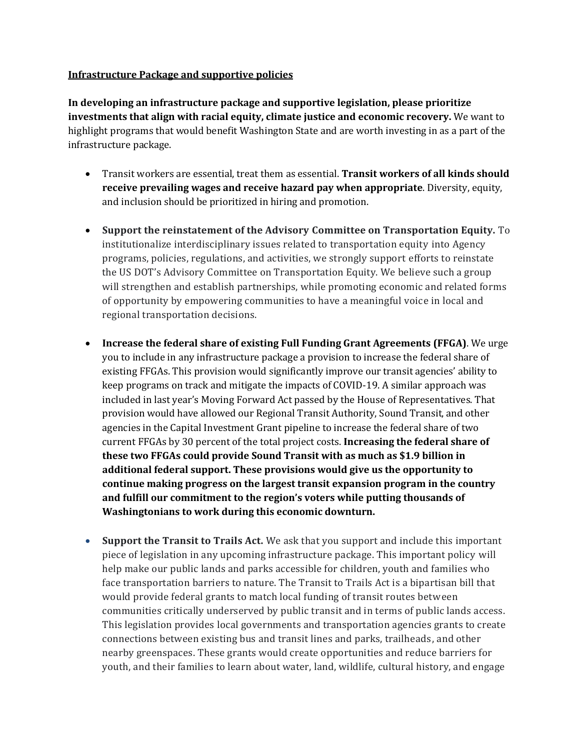## **Infrastructure Package and supportive policies**

**In developing an infrastructure package and supportive legislation, please prioritize investments that align with racial equity, climate justice and economic recovery.** We want to highlight programs that would benefit Washington State and are worth investing in as a part of the infrastructure package.

- Transit workers are essential, treat them as essential. **Transit workers of all kinds should receive prevailing wages and receive hazard pay when appropriate**. Diversity, equity, and inclusion should be prioritized in hiring and promotion.
- **Support the reinstatement of the Advisory Committee on Transportation Equity.** To institutionalize interdisciplinary issues related to transportation equity into Agency programs, policies, regulations, and activities, we strongly support efforts to reinstate the US DOT's Advisory Committee on Transportation Equity. We believe such a group will strengthen and establish partnerships, while promoting economic and related forms of opportunity by empowering communities to have a meaningful voice in local and regional transportation decisions.
- **Increase the federal share of existing Full Funding Grant Agreements (FFGA)**. We urge you to include in any infrastructure package a provision to increase the federal share of existing FFGAs. This provision would significantly improve our transit agencies' ability to keep programs on track and mitigate the impacts of COVID-19. A similar approach was included in last year's Moving Forward Act passed by the House of Representatives. That provision would have allowed our Regional Transit Authority, Sound Transit, and other agencies in the Capital Investment Grant pipeline to increase the federal share of two current FFGAs by 30 percent of the total project costs. **Increasing the federal share of these two FFGAs could provide Sound Transit with as much as \$1.9 billion in additional federal support. These provisions would give us the opportunity to continue making progress on the largest transit expansion program in the country and fulfill our commitment to the region's voters while putting thousands of Washingtonians to work during this economic downturn.**
- **Support the Transit to Trails Act.** We ask that you support and include this important piece of legislation in any upcoming infrastructure package. This important policy will help make our public lands and parks accessible for children, youth and families who face transportation barriers to nature. The Transit to Trails Act is a bipartisan bill that would provide federal grants to match local funding of transit routes between communities critically underserved by public transit and in terms of public lands access. This legislation provides local governments and transportation agencies grants to create connections between existing bus and transit lines and parks, trailheads, and other nearby greenspaces. These grants would create opportunities and reduce barriers for youth, and their families to learn about water, land, wildlife, cultural history, and engage